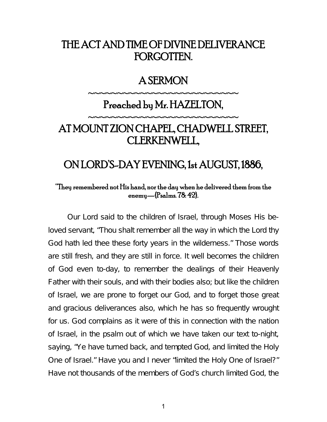# THE ACT AND TIME OF DIVINE DELIVERANCE FORGOTTEN.

#### A SERMON

~~~~~~~~~~~~~~~~~~~~~~~~~

# Preached by Mr. HAZELTON,

~~~~~~~~~~~~~~~~~~~~~~~~~

# AT MOUNT ZION CHAPEL, CHADWELL STREET, CLERKENWELL,

# ON LORD'S-DAY EVENING, 1st AUGUST, 1886,

#### "They remembered not His hand, nor the day when he delivered them from the enemy—{Psalms. 78: 42}.

Our Lord said to the children of Israel, through Moses His beloved servant, "Thou shalt remember all the way in which the Lord thy God hath led thee these forty years in the wilderness." Those words are still fresh, and they are still in force. It well becomes the children of God even to-day, to remember the dealings of their Heavenly Father with their souls, and with their bodies also; but like the children of Israel, we are prone to forget our God, and to forget those great and gracious deliverances also, which he has so frequently wrought for us. God complains as it were of this in connection with the nation of Israel, in the psalm out of which we have taken our text to-night, saying, "Ye have turned back, and tempted God, and limited the Holy One of Israel." Have you and I never "limited the Holy One of Israel?" Have not thousands of the members of God's church limited God, the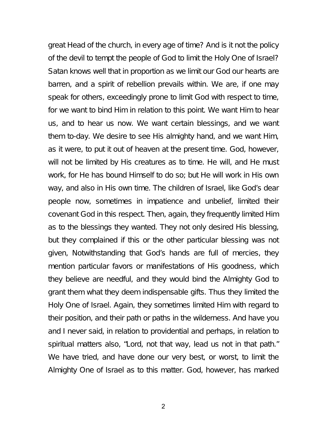great Head of the church, in every age of time? And is it not the policy of the devil to tempt the people of God to limit the Holy One of Israel? Satan knows well that in proportion as we limit our God our hearts are barren, and a spirit of rebellion prevails within. We are, if one may speak for others, exceedingly prone to limit God with respect to time, for we want to bind Him in relation to this point. We want Him to hear us, and to hear us now. We want certain blessings, and we want them to-day. We desire to see His almighty hand, and we want Him, as it were, to put it out of heaven at the present time. God, however, will not be limited by His creatures as to time. He will, and He must work, for He has bound Himself to do so; but He will work in His own way, and also in His own time. The children of Israel, like God's dear people now, sometimes in impatience and unbelief, limited their covenant God in this respect. Then, again, they frequently limited Him as to the blessings they wanted. They not only desired His blessing, but they complained if this or the other particular blessing was not given, Notwithstanding that God's hands are full of mercies, they mention particular favors or manifestations of His goodness, which they believe are needful, and they would bind the Almighty God to grant them what they deem indispensable gifts. Thus they limited the Holy One of Israel. Again, they sometimes limited Him with regard to their position, and their path or paths in the wilderness. And have you and I never said, in relation to providential and perhaps, in relation to spiritual matters also, "Lord, not that way, lead us not in that path." We have tried, and have done our very best, or worst, to limit the Almighty One of Israel as to this matter. God, however, has marked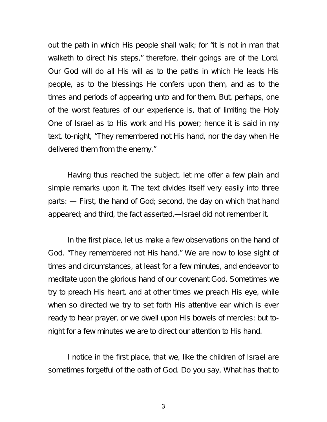out the path in which His people shall walk; for "it is not in man that walketh to direct his steps," therefore, their goings are of the Lord. Our God will do all His will as to the paths in which He leads His people, as to the blessings He confers upon them, and as to the times and periods of appearing unto and for them. But, perhaps, one of the worst features of our experience is, that of limiting the Holy One of Israel as to His work and His power; hence it is said in my text, to-night, "They remembered not His hand, nor the day when He delivered them from the enemy."

Having thus reached the subject, let me offer a few plain and simple remarks upon it. The text divides itself very easily into three parts: — First, the hand of God; second, the day on which that hand appeared; and third, the fact asserted,—Israel did not remember it.

In the first place, let us make a few observations on the hand of God. "They remembered not His hand." We are now to lose sight of times and circumstances, at least for a few minutes, and endeavor to meditate upon the glorious hand of our covenant God. Sometimes we try to preach His heart, and at other times we preach His eye, while when so directed we try to set forth His attentive ear which is ever ready to hear prayer, or we dwell upon His bowels of mercies: but tonight for a few minutes we are to direct our attention to His hand.

I notice in the first place, that we, like the children of Israel are sometimes forgetful of the oath of God. Do you say, What has that to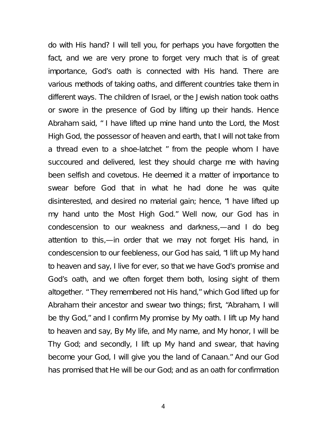do with His hand? I will tell you, for perhaps you have forgotten the fact, and we are very prone to forget very much that is of great importance, God's oath is connected with His hand. There are various methods of taking oaths, and different countries take them in different ways. The children of Israel, or the Jewish nation took oaths or swore in the presence of God by lifting up their hands. Hence Abraham said, " I have lifted up mine hand unto the Lord, the Most High God, the possessor of heaven and earth, that I will not take from a thread even to a shoe-latchet " from the people whom I have succoured and delivered, lest they should charge me with having been selfish and covetous. He deemed it a matter of importance to swear before God that in what he had done he was quite disinterested, and desired no material gain; hence, "I have lifted up my hand unto the Most High God." Well now, our God has in condescension to our weakness and darkness,—and I do beg attention to this,—in order that we may not forget His hand, in condescension to our feebleness, our God has said, "I lift up My hand to heaven and say, I live for ever, so that we have God's promise and God's oath, and we often forget them both, losing sight of them altogether. " They remembered not His hand," which God lifted up for Abraham their ancestor and swear two things; first, "Abraham, I will be thy God," and I confirm My promise by My oath. I lift up My hand to heaven and say, By My life, and My name, and My honor, I will be Thy God; and secondly, I lift up My hand and swear, that having become your God, I will give you the land of Canaan." And our God has promised that He will be our God; and as an oath for confirmation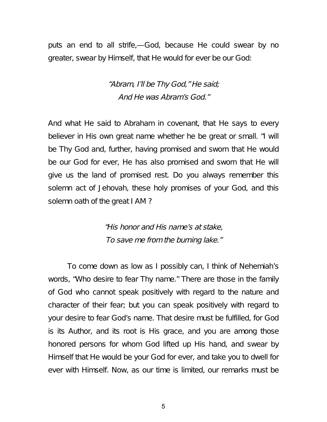puts an end to all strife,—God, because He could swear by no greater, swear by Himself, that He would for ever be our God:

> "Abram, I'll be Thy God," He said; And He was Abram's God."

And what He said to Abraham in covenant, that He says to every believer in His own great name whether he be great or small. "I will be Thy God and, further, having promised and sworn that He would be our God for ever, He has also promised and sworn that He will give us the land of promised rest. Do you always remember this solemn act of Jehovah, these holy promises of your God, and this solemn oath of the great I AM ?

> "His honor and His name's at stake, To save me from the burning lake."

To come down as low as I possibly can, I think of Nehemiah's words, "Who desire to fear Thy name." There are those in the family of God who cannot speak positively with regard to the nature and character of their fear; but you can speak positively with regard to your desire to fear God's name. That desire must be fulfilled, for God is its Author, and its root is His grace, and you are among those honored persons for whom God lifted up His hand, and swear by Himself that He would be your God for ever, and take you to dwell for ever with Himself. Now, as our time is limited, our remarks must be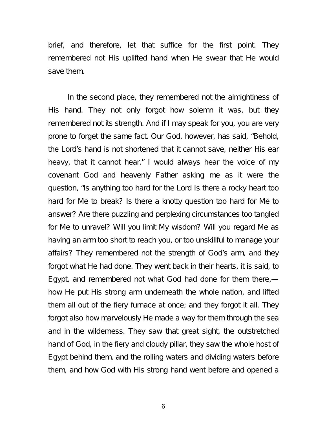brief, and therefore, let that suffice for the first point. They remembered not His uplifted hand when He swear that He would save them.

In the second place, they remembered not the almightiness of His hand. They not only forgot how solemn it was, but they remembered not its strength. And if I may speak for you, you are very prone to forget the same fact. Our God, however, has said, "Behold, the Lord's hand is not shortened that it cannot save, neither His ear heavy, that it cannot hear." I would always hear the voice of my covenant God and heavenly Father asking me as it were the question, "Is anything too hard for the Lord Is there a rocky heart too hard for Me to break? Is there a knotty question too hard for Me to answer? Are there puzzling and perplexing circumstances too tangled for Me to unravel? Will you limit My wisdom? Will you regard Me as having an arm too short to reach you, or too unskillful to manage your affairs? They remembered not the strength of God's arm, and they forgot what He had done. They went back in their hearts, it is said, to Egypt, and remembered not what God had done for them there, how He put His strong arm underneath the whole nation, and lifted them all out of the fiery furnace at once; and they forgot it all. They forgot also how marvelously He made a way for them through the sea and in the wilderness. They saw that great sight, the outstretched hand of God, in the fiery and cloudy pillar, they saw the whole host of Egypt behind them, and the rolling waters and dividing waters before them, and how God with His strong hand went before and opened a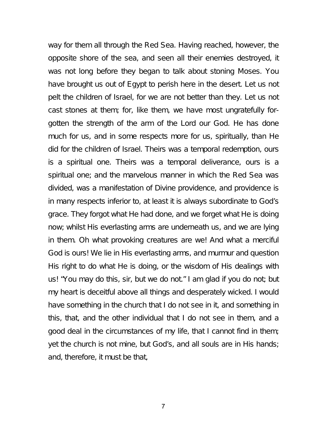way for them all through the Red Sea. Having reached, however, the opposite shore of the sea, and seen all their enemies destroyed, it was not long before they began to talk about stoning Moses. You have brought us out of Egypt to perish here in the desert. Let us not pelt the children of Israel, for we are not better than they. Let us not cast stones at them; for, like them, we have most ungratefully forgotten the strength of the arm of the Lord our God. He has done much for us, and in some respects more for us, spiritually, than He did for the children of Israel. Theirs was a temporal redemption, ours is a spiritual one. Theirs was a temporal deliverance, ours is a spiritual one; and the marvelous manner in which the Red Sea was divided, was a manifestation of Divine providence, and providence is in many respects inferior to, at least it is always subordinate to God's grace. They forgot what He had done, and we forget what He is doing now; whilst His everlasting arms are underneath us, and we are lying in them. Oh what provoking creatures are we! And what a merciful God is ours! We lie in His everlasting arms, and murmur and question His right to do what He is doing, or the wisdom of His dealings with us! "You may do this, sir, but we do not." I am glad if you do not; but my heart is deceitful above all things and desperately wicked. I would have something in the church that I do not see in it, and something in this, that, and the other individual that I do not see in them, and a good deal in the circumstances of my life, that I cannot find in them; yet the church is not mine, but God's, and all souls are in His hands; and, therefore, it must be that,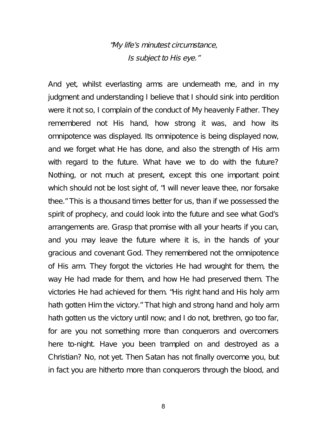#### "My life's minutest circumstance, Is subject to His eye."

And yet, whilst everlasting arms are underneath me, and in my judgment and understanding I believe that I should sink into perdition were it not so, I complain of the conduct of My heavenly Father. They remembered not His hand, how strong it was, and how its omnipotence was displayed. Its omnipotence is being displayed now, and we forget what He has done, and also the strength of His arm with regard to the future. What have we to do with the future? Nothing, or not much at present, except this one important point which should not be lost sight of, "I will never leave thee, nor forsake thee." This is a thousand times better for us, than if we possessed the spirit of prophecy, and could look into the future and see what God's arrangements are. Grasp that promise with all your hearts if you can, and you may leave the future where it is, in the hands of your gracious and covenant God. They remembered not the omnipotence of His arm. They forgot the victories He had wrought for them, the way He had made for them, and how He had preserved them. The victories He had achieved for them. "His right hand and His holy arm hath gotten Him the victory." That high and strong hand and holy arm hath gotten us the victory until now; and I do not, brethren, go too far, for are you not something more than conquerors and overcomers here to-night. Have you been trampled on and destroyed as a Christian? No, not yet. Then Satan has not finally overcome you, but in fact you are hitherto more than conquerors through the blood, and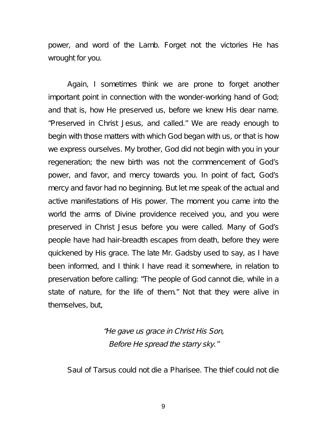power, and word of the Lamb. Forget not the victories He has wrought for you.

Again, I sometimes think we are prone to forget another important point in connection with the wonder-working hand of God; and that is, how He preserved us, before we knew His dear name. "Preserved in Christ Jesus, and called." We are ready enough to begin with those matters with which God began with us, or that is how we express ourselves. My brother, God did not begin with you in your regeneration; the new birth was not the commencement of God's power, and favor, and mercy towards you. In point of fact, God's mercy and favor had no beginning. But let me speak of the actual and active manifestations of His power. The moment you came into the world the arms of Divine providence received you, and you were preserved in Christ Jesus before you were called. Many of God's people have had hair-breadth escapes from death, before they were quickened by His grace. The late Mr. Gadsby used to say, as I have been informed, and I think I have read it somewhere, in relation to preservation before calling: "The people of God cannot die, while in a state of nature, for the life of them." Not that they were alive in themselves, but,

#### "He gave us grace in Christ His Son, Before He spread the starry sky."

Saul of Tarsus could not die a Pharisee. The thief could not die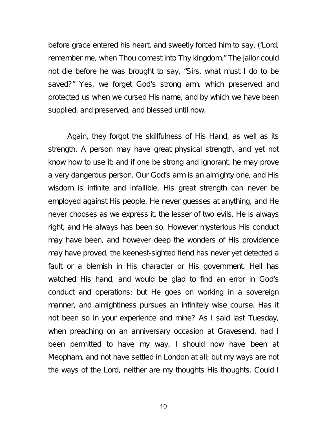before grace entered his heart, and sweetly forced him to say, ('Lord, remember me, when Thou comest into Thy kingdom." The jailor could not die before he was brought to say, "Sirs, what must I do to be saved?" Yes, we forget God's strong arm, which preserved and protected us when we cursed His name, and by which we have been supplied, and preserved, and blessed until now.

Again, they forgot the skillfulness of His Hand, as well as its strength. A person may have great physical strength, and yet not know how to use it; and if one be strong and ignorant, he may prove a very dangerous person. Our God's arm is an almighty one, and His wisdom is infinite and infallible. His great strength can never be employed against His people. He never guesses at anything, and He never chooses as we express it, the lesser of two evils. He is always right, and He always has been so. However mysterious His conduct may have been, and however deep the wonders of His providence may have proved, the keenest-sighted fiend has never yet detected a fault or a blemish in His character or His government. Hell has watched His hand, and would be glad to find an error in God's conduct and operations; but He goes on working in a sovereign manner, and almightiness pursues an infinitely wise course. Has it not been so in your experience and mine? As I said last Tuesday, when preaching on an anniversary occasion at Gravesend, had I been permitted to have my way, I should now have been at Meopham, and not have settled in London at all; but my ways are not the ways of the Lord, neither are my thoughts His thoughts. Could I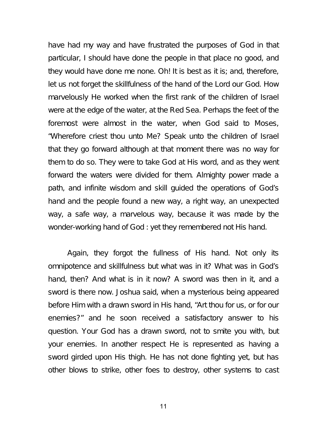have had my way and have frustrated the purposes of God in that particular, I should have done the people in that place no good, and they would have done me none. Oh! It is best as it is; and, therefore, let us not forget the skillfulness of the hand of the Lord our God. How marvelously He worked when the first rank of the children of Israel were at the edge of the water, at the Red Sea. Perhaps the feet of the foremost were almost in the water, when God said to Moses, "Wherefore criest thou unto Me? Speak unto the children of Israel that they go forward although at that moment there was no way for them to do so. They were to take God at His word, and as they went forward the waters were divided for them. Almighty power made a path, and infinite wisdom and skill guided the operations of God's hand and the people found a new way, a right way, an unexpected way, a safe way, a marvelous way, because it was made by the wonder-working hand of God : yet they remembered not His hand.

Again, they forgot the fullness of His hand. Not only its omnipotence and skillfulness but what was in it? What was in God's hand, then? And what is in it now? A sword was then in it, and a sword is there now. Joshua said, when a mysterious being appeared before Him with a drawn sword in His hand, "Art thou for us, or for our enemies?" and he soon received a satisfactory answer to his question. Your God has a drawn sword, not to smite you with, but your enemies. In another respect He is represented as having a sword girded upon His thigh. He has not done fighting yet, but has other blows to strike, other foes to destroy, other systems to cast

11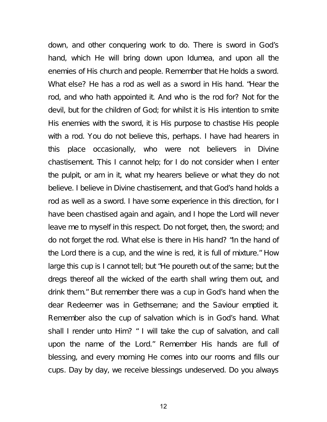down, and other conquering work to do. There is sword in God's hand, which He will bring down upon Idumea, and upon all the enemies of His church and people. Remember that He holds a sword. What else? He has a rod as well as a sword in His hand. "Hear the rod, and who hath appointed it. And who is the rod for? Not for the devil, but for the children of God; for whilst it is His intention to smite His enemies with the sword, it is His purpose to chastise His people with a rod. You do not believe this, perhaps. I have had hearers in this place occasionally, who were not believers in Divine chastisement. This I cannot help; for I do not consider when I enter the pulpit, or am in it, what my hearers believe or what they do not believe. I believe in Divine chastisement, and that God's hand holds a rod as well as a sword. I have some experience in this direction, for I have been chastised again and again, and I hope the Lord will never leave me to myself in this respect. Do not forget, then, the sword; and do not forget the rod. What else is there in His hand? "In the hand of the Lord there is a cup, and the wine is red, it is full of mixture." How large this cup is I cannot tell; but "He poureth out of the same; but the dregs thereof all the wicked of the earth shall wring them out, and drink them." But remember there was a cup in God's hand when the dear Redeemer was in Gethsemane; and the Saviour emptied it. Remember also the cup of salvation which is in God's hand. What shall I render unto Him? " I will take the cup of salvation, and call upon the name of the Lord." Remember His hands are full of blessing, and every morning He comes into our rooms and fills our cups. Day by day, we receive blessings undeserved. Do you always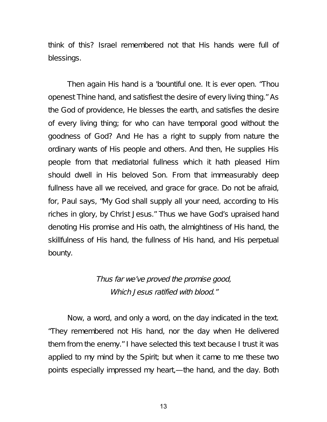think of this? Israel remembered not that His hands were full of blessings.

Then again His hand is a 'bountiful one. It is ever open. "Thou openest Thine hand, and satisfiest the desire of every living thing." As the God of providence, He blesses the earth, and satisfies the desire of every living thing; for who can have temporal good without the goodness of God? And He has a right to supply from nature the ordinary wants of His people and others. And then, He supplies His people from that mediatorial fullness which it hath pleased Him should dwell in His beloved Son. From that immeasurably deep fullness have all we received, and grace for grace. Do not be afraid, for, Paul says, "My God shall supply all your need, according to His riches in glory, by Christ Jesus." Thus we have God's upraised hand denoting His promise and His oath, the almightiness of His hand, the skillfulness of His hand, the fullness of His hand, and His perpetual bounty.

> Thus far we've proved the promise good, Which Jesus ratified with blood."

Now, a word, and only a word, on the day indicated in the text. "They remembered not His hand, nor the day when He delivered them from the enemy." I have selected this text because I trust it was applied to my mind by the Spirit; but when it came to me these two points especially impressed my heart,—the hand, and the day. Both

13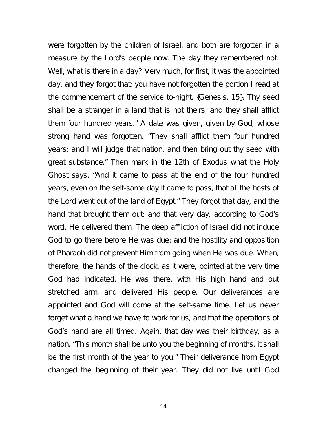were forgotten by the children of Israel, and both are forgotten in a measure by the Lord's people now. The day they remembered not. Well, what is there in a day? Very much, for first, it was the appointed day, and they forgot that; you have not forgotten the portion I read at the commencement of the service to-night, {Genesis. 15}. Thy seed shall be a stranger in a land that is not theirs, and they shall afflict them four hundred years." A date was given, given by God, whose strong hand was forgotten. "They shall afflict them four hundred years; and I will judge that nation, and then bring out thy seed with great substance." Then mark in the 12th of Exodus what the Holy Ghost says, "And it came to pass at the end of the four hundred years, even on the self-same day it came to pass, that all the hosts of the Lord went out of the land of Egypt." They forgot that day, and the hand that brought them out; and that very day, according to God's word, He delivered them. The deep affliction of Israel did not induce God to go there before He was due; and the hostility and opposition of Pharaoh did not prevent Him from going when He was due. When, therefore, the hands of the clock, as it were, pointed at the very time God had indicated, He was there, with His high hand and out stretched arm, and delivered His people. Our deliverances are appointed and God will come at the self-same time. Let us never forget what a hand we have to work for us, and that the operations of God's hand are all timed. Again, that day was their birthday, as a nation. "This month shall be unto you the beginning of months, it shall be the first month of the year to you." Their deliverance from Egypt changed the beginning of their year. They did not live until God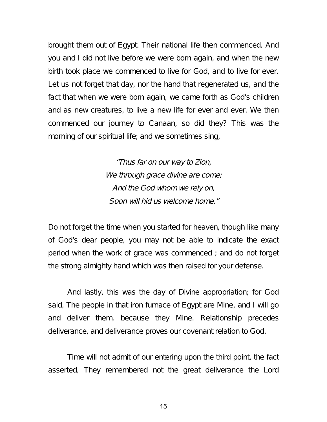brought them out of Egypt. Their national life then commenced. And you and I did not live before we were born again, and when the new birth took place we commenced to live for God, and to live for ever. Let us not forget that day, nor the hand that regenerated us, and the fact that when we were born again, we came forth as God's children and as new creatures, to live a new life for ever and ever. We then commenced our journey to Canaan, so did they? This was the morning of our spiritual life; and we sometimes sing,

> "Thus far on our way to Zion, We through grace divine are come; And the God whom we rely on, Soon will hid us welcome home."

Do not forget the time when you started for heaven, though like many of God's dear people, you may not be able to indicate the exact period when the work of grace was commenced ; and do not forget the strong almighty hand which was then raised for your defense.

And lastly, this was the day of Divine appropriation; for God said, The people in that iron furnace of Egypt are Mine, and I will go and deliver them, because they Mine. Relationship precedes deliverance, and deliverance proves our covenant relation to God.

Time will not admit of our entering upon the third point, the fact asserted, They remembered not the great deliverance the Lord

15